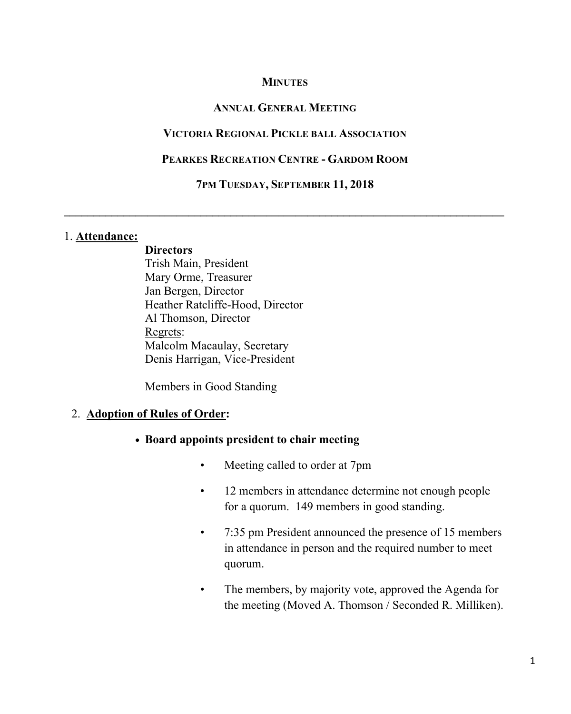### **MINUTES**

#### **ANNUAL GENERAL MEETING**

#### **VICTORIA REGIONAL PICKLE BALL ASSOCIATION**

#### **PEARKES RECREATION CENTRE - GARDOM ROOM**

#### **7PM TUESDAY, SEPTEMBER 11, 2018**

 $\mathcal{L} = \{ \mathcal{L} \mathcal{L} \mathcal{L} \mathcal{L} \mathcal{L} \mathcal{L} \mathcal{L} \mathcal{L} \mathcal{L} \mathcal{L} \mathcal{L} \mathcal{L} \mathcal{L} \mathcal{L} \mathcal{L} \mathcal{L} \mathcal{L} \mathcal{L} \mathcal{L} \mathcal{L} \mathcal{L} \mathcal{L} \mathcal{L} \mathcal{L} \mathcal{L} \mathcal{L} \mathcal{L} \mathcal{L} \mathcal{L} \mathcal{L} \mathcal{L} \mathcal{L} \mathcal{L} \mathcal{L} \mathcal{L} \$ 

#### 1. **Attendance:**

**Directors** Trish Main, President Mary Orme, Treasurer Jan Bergen, Director Heather Ratcliffe-Hood, Director Al Thomson, Director Regrets: Malcolm Macaulay, Secretary Denis Harrigan, Vice-President

Members in Good Standing

#### 2. **Adoption of Rules of Order:**

- **• Board appoints president to chair meeting**
	- Meeting called to order at 7pm
	- 12 members in attendance determine not enough people for a quorum. 149 members in good standing.
	- 7:35 pm President announced the presence of 15 members in attendance in person and the required number to meet quorum.
	- The members, by majority vote, approved the Agenda for the meeting (Moved A. Thomson / Seconded R. Milliken).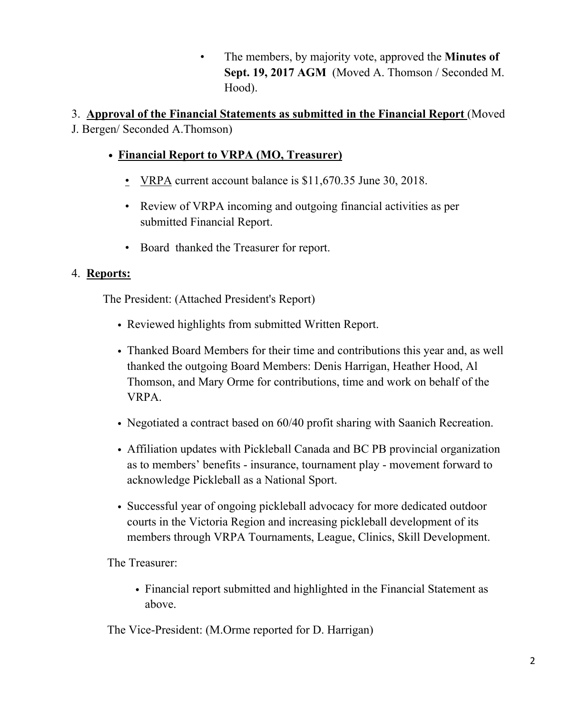• The members, by majority vote, approved the **Minutes of Sept. 19, 2017 AGM** (Moved A. Thomson / Seconded M. Hood).

3. **Approval of the Financial Statements as submitted in the Financial Report** (Moved J. Bergen/ Seconded A.Thomson)

- **• Financial Report to VRPA (MO, Treasurer)**
	- VRPA current account balance is \$11,670.35 June 30, 2018.
	- Review of VRPA incoming and outgoing financial activities as per submitted Financial Report.
	- Board thanked the Treasurer for report.

# 4. **Reports:**

The President: (Attached President's Report)

- Reviewed highlights from submitted Written Report.
- Thanked Board Members for their time and contributions this year and, as well thanked the outgoing Board Members: Denis Harrigan, Heather Hood, Al Thomson, and Mary Orme for contributions, time and work on behalf of the VRPA.
- Negotiated a contract based on 60/40 profit sharing with Saanich Recreation.
- Affiliation updates with Pickleball Canada and BC PB provincial organization as to members' benefits - insurance, tournament play - movement forward to acknowledge Pickleball as a National Sport.
- Successful year of ongoing pickleball advocacy for more dedicated outdoor courts in the Victoria Region and increasing pickleball development of its members through VRPA Tournaments, League, Clinics, Skill Development.

The Treasurer:

• Financial report submitted and highlighted in the Financial Statement as above.

The Vice-President: (M.Orme reported for D. Harrigan)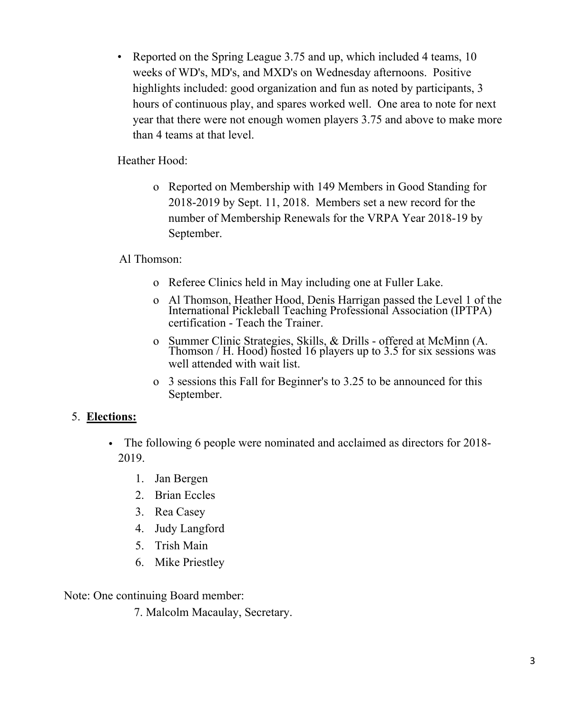• Reported on the Spring League 3.75 and up, which included 4 teams, 10 weeks of WD's, MD's, and MXD's on Wednesday afternoons. Positive highlights included: good organization and fun as noted by participants, 3 hours of continuous play, and spares worked well. One area to note for next year that there were not enough women players 3.75 and above to make more than 4 teams at that level.

Heather Hood:

o Reported on Membership with 149 Members in Good Standing for 2018-2019 by Sept. 11, 2018. Members set a new record for the number of Membership Renewals for the VRPA Year 2018-19 by September.

# Al Thomson:

- o Referee Clinics held in May including one at Fuller Lake.
- o Al Thomson, Heather Hood, Denis Harrigan passed the Level 1 of the International Pickleball Teaching Professional Association (IPTPA) certification - Teach the Trainer.
- <sup>o</sup> Summer Clinic Strategies, Skills, & Drills offered at McMinn (A. Thomson / H. Hood) hosted <sup>16</sup> players up to 3.5 for six sessions was well attended with wait list.
- o 3 sessions this Fall for Beginner's to 3.25 to be announced for this September.

# 5. **Elections:**

- The following 6 people were nominated and acclaimed as directors for 2018- 2019.
	- 1. Jan Bergen
	- 2. Brian Eccles
	- 3. Rea Casey
	- 4. Judy Langford
	- 5. Trish Main
	- 6. Mike Priestley

Note: One continuing Board member:

7. Malcolm Macaulay, Secretary.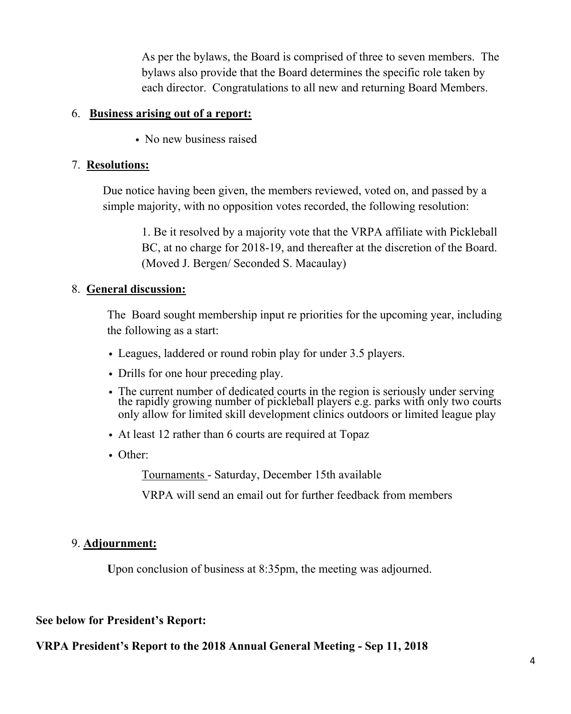As per the bylaws, the Board is comprised of three to seven members. The bylaws also provide that the Board determines the specific role taken by each director. Congratulations to all new and returning Board Members.

### 6. **Business arising out of a report:**

• No new business raised

### 7. **Resolutions:**

Due notice having been given, the members reviewed, voted on, and passed by a simple majority, with no opposition votes recorded, the following resolution:

1. Be it resolved by a majority vote that the VRPA affiliate with Pickleball BC, at no charge for 2018-19, and thereafter at the discretion of the Board. (Moved J. Bergen/ Seconded S. Macaulay)

### 8. **General discussion:**

The Board sought membership input re priorities for the upcoming year, including the following as a start:

- Leagues, laddered or round robin play for under 3.5 players.
- Drills for one hour preceding play.
- The current number of dedicated courts in the region is seriously under serving the rapidly growing number of pickleball players e.g. parks with only two courts only allow for limited skill development clinics outdoors or limited league play
- At least 12 rather than 6 courts are required at Topaz
- Other:

Tournaments - Saturday, December 15th available

VRPA will send an email out for further feedback from members

# 9. **Adjournment:**

Upon conclusion of business at 8:35pm, the meeting was adjourned.

# **See below for President's Report:**

# **VRPA President's Report to the 2018 Annual General Meeting - Sep 11, 2018**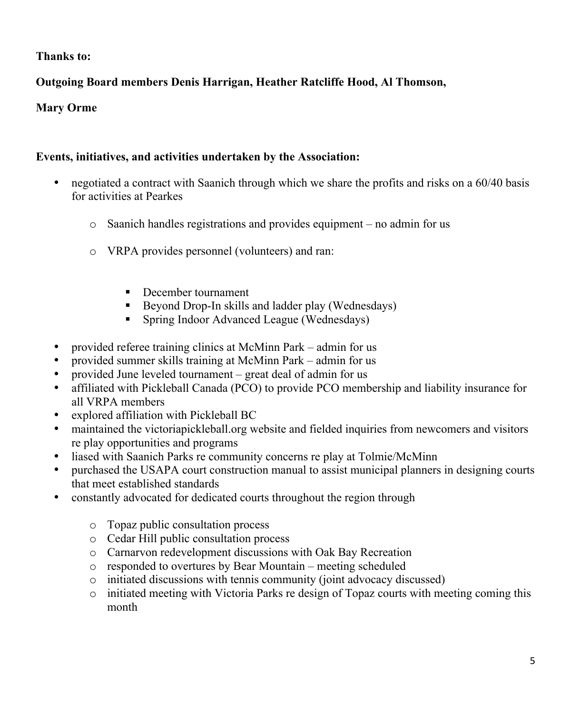# **Thanks to:**

# **Outgoing Board members Denis Harrigan, Heather Ratcliffe Hood, Al Thomson,**

### **Mary Orme**

### **Events, initiatives, and activities undertaken by the Association:**

- negotiated a contract with Saanich through which we share the profits and risks on a 60/40 basis for activities at Pearkes
	- o Saanich handles registrations and provides equipment no admin for us
	- o VRPA provides personnel (volunteers) and ran:
		- December tournament
		- ! Beyond Drop-In skills and ladder play (Wednesdays)
		- ! Spring Indoor Advanced League (Wednesdays)
- provided referee training clinics at McMinn Park admin for us
- provided summer skills training at McMinn Park admin for us
- provided June leveled tournament great deal of admin for us
- affiliated with Pickleball Canada (PCO) to provide PCO membership and liability insurance for all VRPA members
- explored affiliation with Pickleball BC
- maintained the victoriapickleball.org website and fielded inquiries from newcomers and visitors re play opportunities and programs
- liased with Saanich Parks re community concerns re play at Tolmie/McMinn
- purchased the USAPA court construction manual to assist municipal planners in designing courts that meet established standards
- constantly advocated for dedicated courts throughout the region through
	- o Topaz public consultation process
	- o Cedar Hill public consultation process
	- o Carnarvon redevelopment discussions with Oak Bay Recreation
	- o responded to overtures by Bear Mountain meeting scheduled
	- o initiated discussions with tennis community (joint advocacy discussed)
	- $\circ$  initiated meeting with Victoria Parks re design of Topaz courts with meeting coming this month